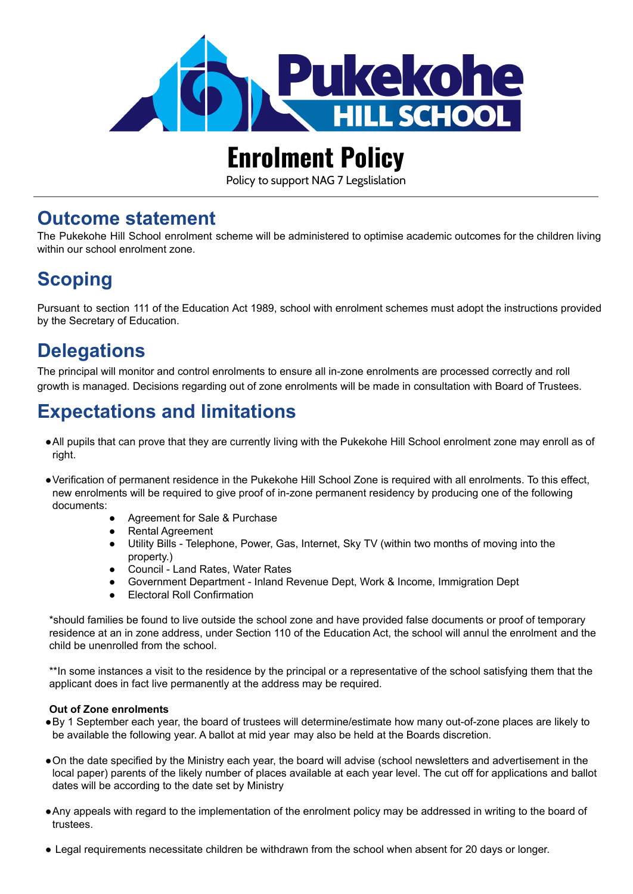

# **Enrolment Policy**

Policy to support NAG 7 Legslislation

#### **Outcome statement**

The Pukekohe Hill School enrolment scheme will be administered to optimise academic outcomes for the children living within our school enrolment zone.

## **Scoping**

Pursuant to section 111 of the Education Act 1989, school with enrolment schemes must adopt the instructions provided by the Secretary of Education.

### **Delegations**

The principal will monitor and control enrolments to ensure all in-zone enrolments are processed correctly and roll growth is managed. Decisions regarding out of zone enrolments will be made in consultation with Board of Trustees.

#### **Expectations and limitations**

- ●All pupils that can prove that they are currently living with the Pukekohe Hill School enrolment zone may enroll as of right.
- ●Verification of permanent residence in the Pukekohe Hill School Zone is required with all enrolments. To this effect, new enrolments will be required to give proof of in-zone permanent residency by producing one of the following documents:
	- Agreement for Sale & Purchase
	- Rental Agreement
	- Utility Bills Telephone, Power, Gas, Internet, Sky TV (within two months of moving into the property.)
	- Council Land Rates, Water Rates
	- Government Department Inland Revenue Dept, Work & Income, Immigration Dept
	- **Electoral Roll Confirmation**

\*should families be found to live outside the school zone and have provided false documents or proof of temporary residence at an in zone address, under Section 110 of the Education Act, the school will annul the enrolment and the child be unenrolled from the school.

\*\*In some instances a visit to the residence by the principal or a representative of the school satisfying them that the applicant does in fact live permanently at the address may be required.

#### **Out of Zone enrolments**

- ●By 1 September each year, the board of trustees will determine/estimate how many out-of-zone places are likely to be available the following year. A ballot at mid year may also be held at the Boards discretion.
- ●On the date specified by the Ministry each year, the board will advise (school newsletters and advertisement in the local paper) parents of the likely number of places available at each year level. The cut off for applications and ballot dates will be according to the date set by Ministry
- ●Any appeals with regard to the implementation of the enrolment policy may be addressed in writing to the board of trustees.
- Legal requirements necessitate children be withdrawn from the school when absent for 20 days or longer.